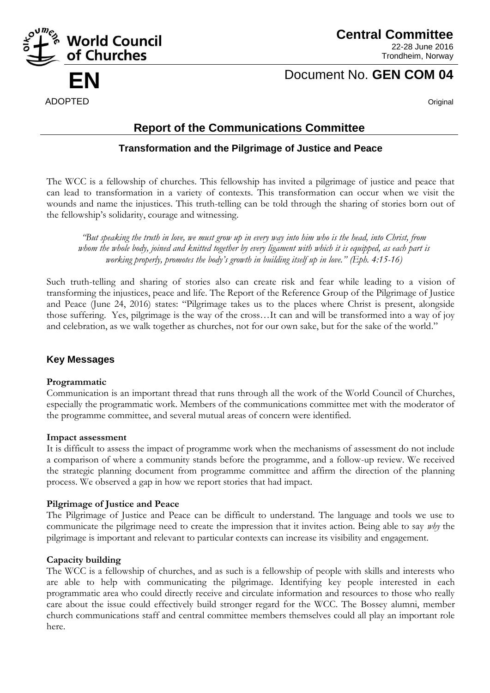

**Central Committee** 22-28 June 2016 Trondheim, Norway

# **EN** Document No. **GEN COM 04**

# **Report of the Communications Committee**

# **Transformation and the Pilgrimage of Justice and Peace**

The WCC is a fellowship of churches. This fellowship has invited a pilgrimage of justice and peace that can lead to transformation in a variety of contexts. This transformation can occur when we visit the wounds and name the injustices. This truth-telling can be told through the sharing of stories born out of the fellowship's solidarity, courage and witnessing.

*"But speaking the truth in love, we must grow up in every way into him who is the head, into Christ, from whom the whole body, joined and knitted together by every ligament with which it is equipped, as each part is working properly, promotes the body's growth in building itself up in love." (Eph. 4:15-16)*

Such truth-telling and sharing of stories also can create risk and fear while leading to a vision of transforming the injustices, peace and life. The Report of the Reference Group of the Pilgrimage of Justice and Peace (June 24, 2016) states: "Pilgrimage takes us to the places where Christ is present, alongside those suffering. Yes, pilgrimage is the way of the cross…It can and will be transformed into a way of joy and celebration, as we walk together as churches, not for our own sake, but for the sake of the world."

# **Key Messages**

### **Programmatic**

Communication is an important thread that runs through all the work of the World Council of Churches, especially the programmatic work. Members of the communications committee met with the moderator of the programme committee, and several mutual areas of concern were identified.

### **Impact assessment**

It is difficult to assess the impact of programme work when the mechanisms of assessment do not include a comparison of where a community stands before the programme, and a follow-up review. We received the strategic planning document from programme committee and affirm the direction of the planning process. We observed a gap in how we report stories that had impact.

### **Pilgrimage of Justice and Peace**

The Pilgrimage of Justice and Peace can be difficult to understand. The language and tools we use to communicate the pilgrimage need to create the impression that it invites action. Being able to say *why* the pilgrimage is important and relevant to particular contexts can increase its visibility and engagement.

# **Capacity building**

The WCC is a fellowship of churches, and as such is a fellowship of people with skills and interests who are able to help with communicating the pilgrimage. Identifying key people interested in each programmatic area who could directly receive and circulate information and resources to those who really care about the issue could effectively build stronger regard for the WCC. The Bossey alumni, member church communications staff and central committee members themselves could all play an important role here.